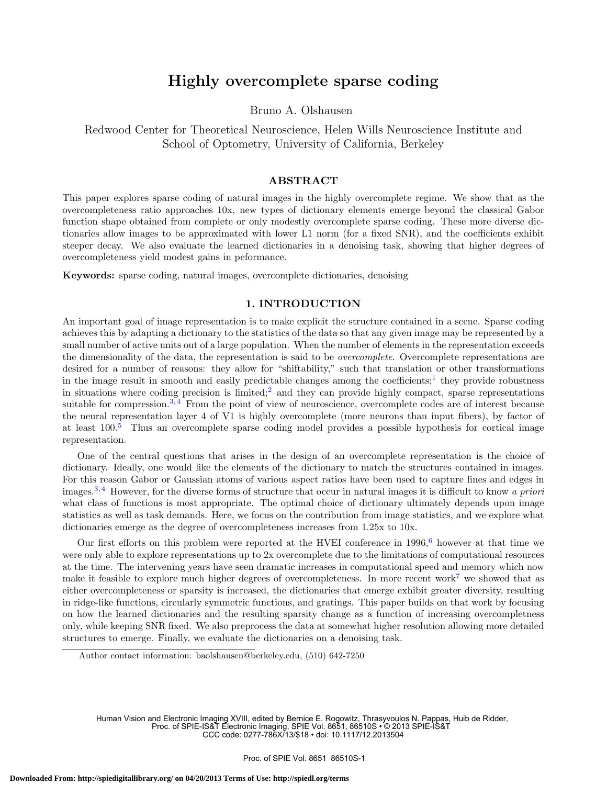# Highly overcomplete sparse coding

Bruno A. Olshausen

Redwood Center for Theoretical Neuroscience, Helen Wills Neuroscience Institute and School of Optometry, University of California, Berkeley

#### ABSTRACT

This paper explores sparse coding of natural images in the highly overcomplete regime. We show that as the overcompleteness ratio approaches 10x, new types of dictionary elements emerge beyond the classical Gabor function shape obtained from complete or only modestly overcomplete sparse coding. These more diverse dictionaries allow images to be approximated with lower L1 norm (for a fixed SNR), and the coefficients exhibit steeper decay. We also evaluate the learned dictionaries in a denoising task, showing that higher degrees of overcompleteness yield modest gains in peformance.

Keywords: sparse coding, natural images, overcomplete dictionaries, denoising

#### 1. INTRODUCTION

An important goal of image representation is to make explicit the structure contained in a scene. Sparse coding achieves this by adapting a dictionary to the statistics of the data so that any given image may be represented by a small number of active units out of a large population. When the number of elements in the representation exceeds the dimensionality of the data, the representation is said to be overcomplete. Overcomplete representations are desired for a number of reasons: they allow for "shiftability," such that translation or other transformations in the image result in smooth and easily predictable changes among the coefficients;<sup>1</sup> they provide robustness in situations where coding precision is limited;<sup>2</sup> and they can provide highly compact, sparse representations suitable for compression.<sup>3, 4</sup> From the point of view of neuroscience, overcomplete codes are of interest because the neural representation layer 4 of V1 is highly overcomplete (more neurons than input fibers), by factor of at least  $100<sup>5</sup>$  Thus an overcomplete sparse coding model provides a possible hypothesis for cortical image representation.

One of the central questions that arises in the design of an overcomplete representation is the choice of dictionary. Ideally, one would like the elements of the dictionary to match the structures contained in images. For this reason Gabor or Gaussian atoms of various aspect ratios have been used to capture lines and edges in images.<sup>3,4</sup> However, for the diverse forms of structure that occur in natural images it is difficult to know a priori what class of functions is most appropriate. The optimal choice of dictionary ultimately depends upon image statistics as well as task demands. Here, we focus on the contribution from image statistics, and we explore what dictionaries emerge as the degree of overcompleteness increases from 1.25x to 10x.

Our first efforts on this problem were reported at the HVEI conference in  $1996,^6$  however at that time we were only able to explore representations up to 2x overcomplete due to the limitations of computational resources at the time. The intervening years have seen dramatic increases in computational speed and memory which now make it feasible to explore much higher degrees of overcompleteness. In more recent work<sup>7</sup> we showed that as either overcompleteness or sparsity is increased, the dictionaries that emerge exhibit greater diversity, resulting in ridge-like functions, circularly symmetric functions, and gratings. This paper builds on that work by focusing on how the learned dictionaries and the resulting sparsity change as a function of increasing overcompletness only, while keeping SNR fixed. We also preprocess the data at somewhat higher resolution allowing more detailed structures to emerge. Finally, we evaluate the dictionaries on a denoising task.

Author contact information: baolshausen@berkeley.edu, (510) 642-7250

Human Vision and Electronic Imaging XVIII, edited by Bernice E. Rogowitz, Thrasyvoulos N. Pappas, Huib de Ridder, Proc. of SPIE-IS&T Electronic Imaging, SPIE Vol. 8651, 86510S • © 2013 SPIE-IS&T CCC code: 0277-786X/13/\$18 • doi: 10.1117/12.2013504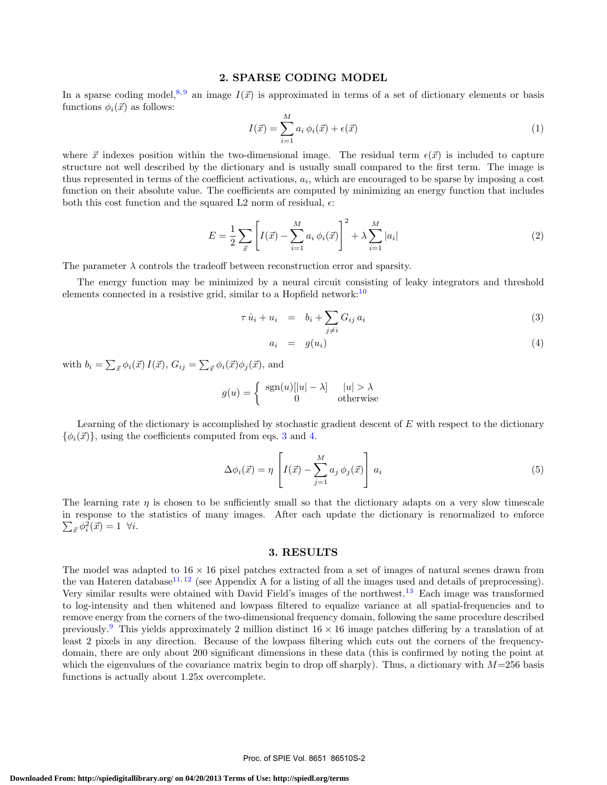#### 2. SPARSE CODING MODEL

In a sparse coding model,<sup>8,9</sup> an image  $I(\vec{x})$  is approximated in terms of a set of dictionary elements or basis functions  $\phi_i(\vec{x})$  as follows:

$$
I(\vec{x}) = \sum_{i=1}^{M} a_i \phi_i(\vec{x}) + \epsilon(\vec{x}) \tag{1}
$$

where  $\vec{x}$  indexes position within the two-dimensional image. The residual term  $\epsilon(\vec{x})$  is included to capture structure not well described by the dictionary and is usually small compared to the first term. The image is thus represented in terms of the coefficient activations,  $a_i$ , which are encouraged to be sparse by imposing a cost function on their absolute value. The coefficients are computed by minimizing an energy function that includes both this cost function and the squared L2 norm of residual,  $\epsilon$ :

$$
E = \frac{1}{2} \sum_{\vec{x}} \left[ I(\vec{x}) - \sum_{i=1}^{M} a_i \, \phi_i(\vec{x}) \right]^2 + \lambda \sum_{i=1}^{M} |a_i| \tag{2}
$$

The parameter  $\lambda$  controls the tradeoff between reconstruction error and sparsity.

The energy function may be minimized by a neural circuit consisting of leaky integrators and threshold elements connected in a resistive grid, similar to a Hopfield network:<sup>10</sup>

$$
\tau \dot{u}_i + u_i = b_i + \sum_{j \neq i} G_{ij} a_i \tag{3}
$$

$$
a_i = g(u_i) \tag{4}
$$

with  $b_i = \sum_{\vec{x}} \phi_i(\vec{x}) I(\vec{x}), G_{ij} = \sum_{\vec{x}} \phi_i(\vec{x}) \phi_j(\vec{x}),$  and

$$
g(u) = \begin{cases} \operatorname{sgn}(u)[|u| - \lambda] & |u| > \lambda \\ 0 & \text{otherwise} \end{cases}
$$

Learning of the dictionary is accomplished by stochastic gradient descent of  $E$  with respect to the dictionary  $\{\phi_i(\vec{x})\}$ , using the coefficients computed from eqs. 3 and 4.

$$
\Delta \phi_i(\vec{x}) = \eta \left[ I(\vec{x}) - \sum_{j=1}^M a_j \phi_j(\vec{x}) \right] a_i \tag{5}
$$

The learning rate  $\eta$  is chosen to be sufficiently small so that the dictionary adapts on a very slow timescale in response to the statistics of many images. After each update the dictionary is renormalized to enforce  $\sum_{\vec{x}} \phi_i^2(\vec{x}) = 1 \ \forall i.$ 

#### 3. RESULTS

The model was adapted to  $16 \times 16$  pixel patches extracted from a set of images of natural scenes drawn from the van Hateren database<sup>11, 12</sup> (see Appendix A for a listing of all the images used and details of preprocessing). Very similar results were obtained with David Field's images of the northwest.<sup>13</sup> Each image was transformed to log-intensity and then whitened and lowpass filtered to equalize variance at all spatial-frequencies and to remove energy from the corners of the two-dimensional frequency domain, following the same procedure described previously.<sup>9</sup> This yields approximately 2 million distinct  $16 \times 16$  image patches differing by a translation of at least 2 pixels in any direction. Because of the lowpass filtering which cuts out the corners of the frequencydomain, there are only about 200 significant dimensions in these data (this is confirmed by noting the point at which the eigenvalues of the covariance matrix begin to drop off sharply). Thus, a dictionary with  $M=256$  basis functions is actually about 1.25x overcomplete.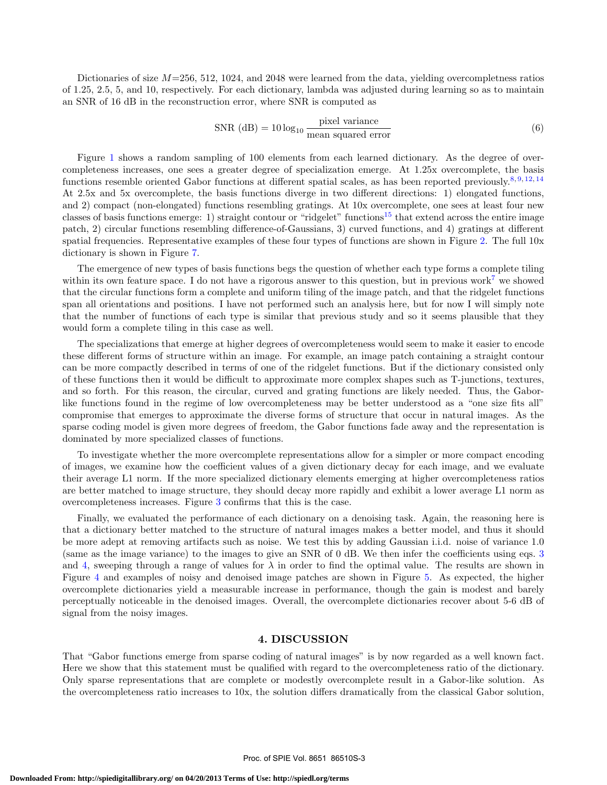Dictionaries of size  $M=256, 512, 1024,$  and 2048 were learned from the data, yielding overcompletness ratios of 1.25, 2.5, 5, and 10, respectively. For each dictionary, lambda was adjusted during learning so as to maintain an SNR of 16 dB in the reconstruction error, where SNR is computed as

$$
SNR (dB) = 10 \log_{10} \frac{\text{pixel variance}}{\text{mean squared error}}
$$
 (6)

Figure 1 shows a random sampling of 100 elements from each learned dictionary. As the degree of overcompleteness increases, one sees a greater degree of specialization emerge. At 1.25x overcomplete, the basis functions resemble oriented Gabor functions at different spatial scales, as has been reported previously.<sup>8, 9, 12, 14</sup> At 2.5x and 5x overcomplete, the basis functions diverge in two different directions: 1) elongated functions, and 2) compact (non-elongated) functions resembling gratings. At 10x overcomplete, one sees at least four new classes of basis functions emerge: 1) straight contour or "ridgelet" functions<sup>15</sup> that extend across the entire image patch, 2) circular functions resembling difference-of-Gaussians, 3) curved functions, and 4) gratings at different spatial frequencies. Representative examples of these four types of functions are shown in Figure 2. The full 10x dictionary is shown in Figure 7.

The emergence of new types of basis functions begs the question of whether each type forms a complete tiling within its own feature space. I do not have a rigorous answer to this question, but in previous work<sup>7</sup> we showed that the circular functions form a complete and uniform tiling of the image patch, and that the ridgelet functions span all orientations and positions. I have not performed such an analysis here, but for now I will simply note that the number of functions of each type is similar that previous study and so it seems plausible that they would form a complete tiling in this case as well.

The specializations that emerge at higher degrees of overcompleteness would seem to make it easier to encode these different forms of structure within an image. For example, an image patch containing a straight contour can be more compactly described in terms of one of the ridgelet functions. But if the dictionary consisted only of these functions then it would be difficult to approximate more complex shapes such as T-junctions, textures, and so forth. For this reason, the circular, curved and grating functions are likely needed. Thus, the Gaborlike functions found in the regime of low overcompleteness may be better understood as a "one size fits all" compromise that emerges to approximate the diverse forms of structure that occur in natural images. As the sparse coding model is given more degrees of freedom, the Gabor functions fade away and the representation is dominated by more specialized classes of functions.

To investigate whether the more overcomplete representations allow for a simpler or more compact encoding of images, we examine how the coefficient values of a given dictionary decay for each image, and we evaluate their average L1 norm. If the more specialized dictionary elements emerging at higher overcompleteness ratios are better matched to image structure, they should decay more rapidly and exhibit a lower average L1 norm as overcompleteness increases. Figure 3 confirms that this is the case.

Finally, we evaluated the performance of each dictionary on a denoising task. Again, the reasoning here is that a dictionary better matched to the structure of natural images makes a better model, and thus it should be more adept at removing artifacts such as noise. We test this by adding Gaussian i.i.d. noise of variance 1.0 (same as the image variance) to the images to give an SNR of 0 dB. We then infer the coefficients using eqs. 3 and 4, sweeping through a range of values for  $\lambda$  in order to find the optimal value. The results are shown in Figure 4 and examples of noisy and denoised image patches are shown in Figure 5. As expected, the higher overcomplete dictionaries yield a measurable increase in performance, though the gain is modest and barely perceptually noticeable in the denoised images. Overall, the overcomplete dictionaries recover about 5-6 dB of signal from the noisy images.

#### 4. DISCUSSION

That "Gabor functions emerge from sparse coding of natural images" is by now regarded as a well known fact. Here we show that this statement must be qualified with regard to the overcompleteness ratio of the dictionary. Only sparse representations that are complete or modestly overcomplete result in a Gabor-like solution. As the overcompleteness ratio increases to 10x, the solution differs dramatically from the classical Gabor solution,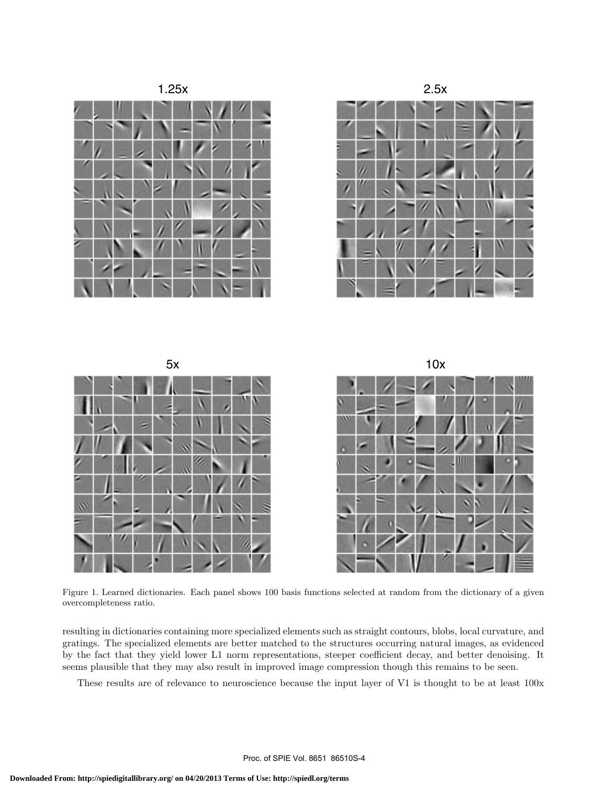

Figure 1. Learned dictionaries. Each panel shows 100 basis functions selected at random from the dictionary of a given overcompleteness ratio.

resulting in dictionaries containing more specialized elements such as straight contours, blobs, local curvature, and gratings. The specialized elements are better matched to the structures occurring natural images, as evidenced by the fact that they yield lower L1 norm representations, steeper coefficient decay, and better denoising. It seems plausible that they may also result in improved image compression though this remains to be seen.

These results are of relevance to neuroscience because the input layer of V1 is thought to be at least 100x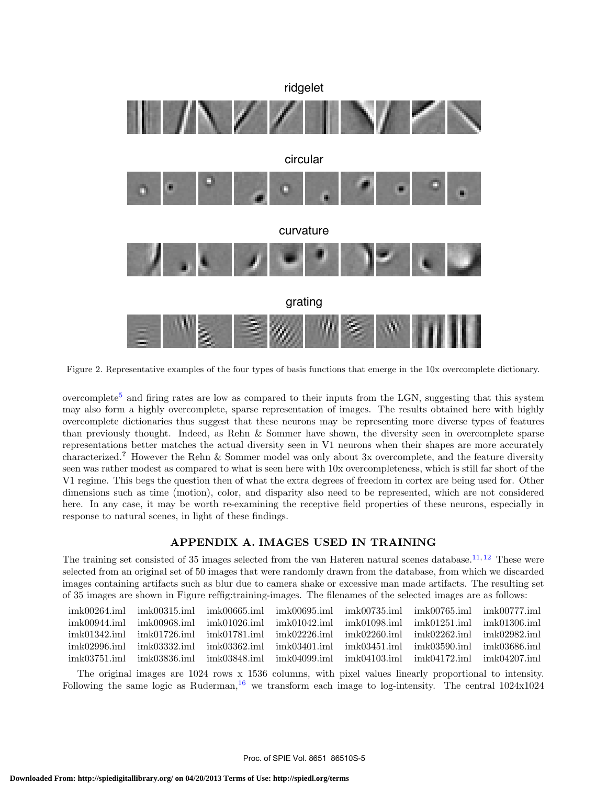

Figure 2. Representative examples of the four types of basis functions that emerge in the 10x overcomplete dictionary.

overcomplete<sup>5</sup> and firing rates are low as compared to their inputs from the LGN, suggesting that this system may also form a highly overcomplete, sparse representation of images. The results obtained here with highly overcomplete dictionaries thus suggest that these neurons may be representing more diverse types of features than previously thought. Indeed, as Rehn & Sommer have shown, the diversity seen in overcomplete sparse representations better matches the actual diversity seen in V1 neurons when their shapes are more accurately characterized.? However the Rehn & Sommer model was only about 3x overcomplete, and the feature diversity seen was rather modest as compared to what is seen here with 10x overcompleteness, which is still far short of the V1 regime. This begs the question then of what the extra degrees of freedom in cortex are being used for. Other dimensions such as time (motion), color, and disparity also need to be represented, which are not considered here. In any case, it may be worth re-examining the receptive field properties of these neurons, especially in response to natural scenes, in light of these findings.

## APPENDIX A. IMAGES USED IN TRAINING

The training set consisted of 35 images selected from the van Hateren natural scenes database.<sup>11, 12</sup> These were selected from an original set of 50 images that were randomly drawn from the database, from which we discarded images containing artifacts such as blur due to camera shake or excessive man made artifacts. The resulting set of 35 images are shown in Figure reffig:training-images. The filenames of the selected images are as follows:

| imk00264.iml       | $\mu$ imk00315.iml imk00665.iml imk00695.iml imk00735.iml imk00765.iml imk00777.iml                   |  |                 |
|--------------------|-------------------------------------------------------------------------------------------------------|--|-----------------|
| $imk00944$ . $iml$ | $\mu$ imk00968.iml imk01026.iml imk01042.iml imk01098.iml imk01251.iml                                |  | $imk01306$ .iml |
| imk01342.iml       | $\mu_{\rm{B}}$ imk01726.iml imk01781.iml imk02226.iml imk02260.iml imk02262.iml imk02982.iml          |  |                 |
| imk02996.iml       | $\mu$ mk03332.iml imk03362.iml imk03401.iml imk03451.iml imk03590.iml                                 |  | imk03686.iml    |
| .imk03751.iml      | $\{imk03836.\}$ $iml \{imk03848.\}$ $iml \{imk04099.\}$ $iml \{imk04103.\}$ $iml \{imk04172.\}$ $iml$ |  | $imk04207$ .iml |
|                    |                                                                                                       |  |                 |

The original images are 1024 rows x 1536 columns, with pixel values linearly proportional to intensity. Following the same logic as Ruderman,<sup>16</sup> we transform each image to log-intensity. The central  $1024 \times 1024$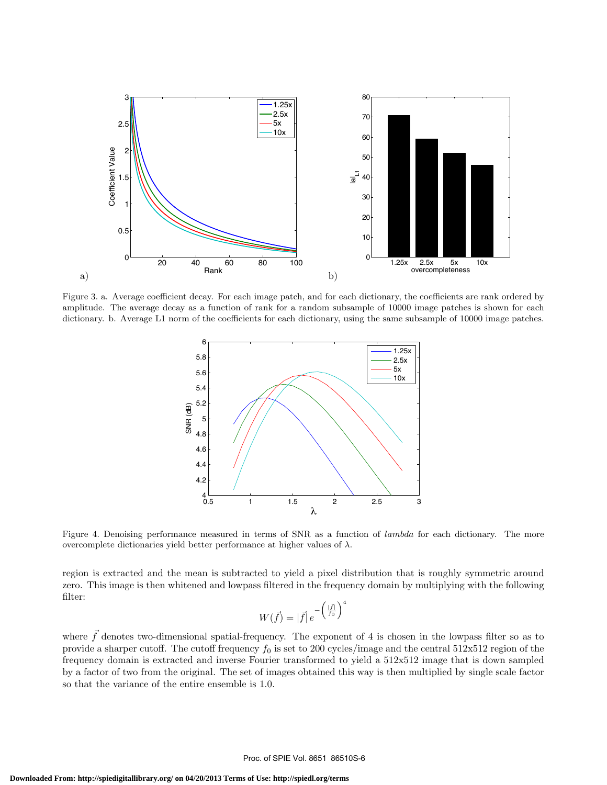

Figure 3. a. Average coefficient decay. For each image patch, and for each dictionary, the coefficients are rank ordered by amplitude. The average decay as a function of rank for a random subsample of 10000 image patches is shown for each dictionary. b. Average L1 norm of the coefficients for each dictionary, using the same subsample of 10000 image patches.



Figure 4. Denoising performance measured in terms of SNR as a function of lambda for each dictionary. The more overcomplete dictionaries yield better performance at higher values of  $\lambda$ .

region is extracted and the mean is subtracted to yield a pixel distribution that is roughly symmetric around zero. This image is then whitened and lowpass filtered in the frequency domain by multiplying with the following filter:

$$
W(\vec{f}) = |\vec{f}| e^{-\left(\frac{|\vec{f}|}{f_0}\right)^4}
$$

where  $\bar{f}$  denotes two-dimensional spatial-frequency. The exponent of 4 is chosen in the lowpass filter so as to provide a sharper cutoff. The cutoff frequency  $f_0$  is set to 200 cycles/image and the central 512x512 region of the frequency domain is extracted and inverse Fourier transformed to yield a 512x512 image that is down sampled by a factor of two from the original. The set of images obtained this way is then multiplied by single scale factor so that the variance of the entire ensemble is 1.0.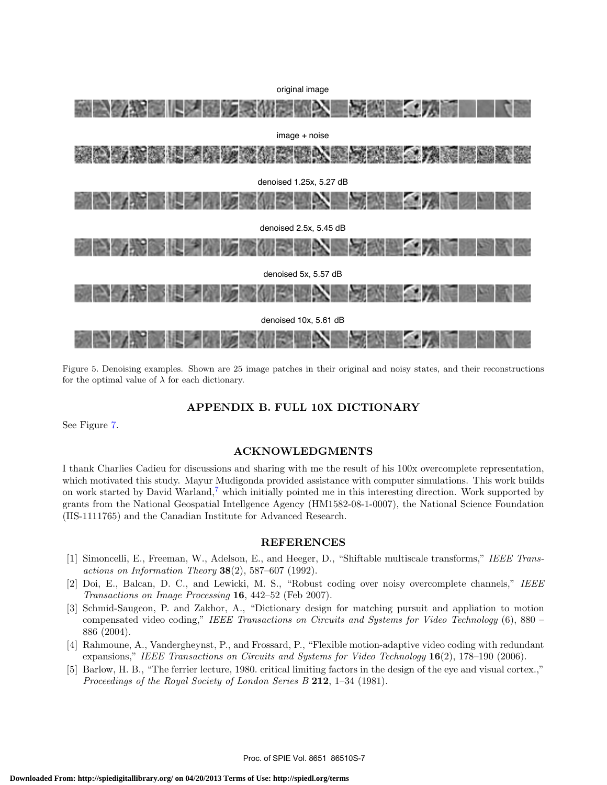

Figure 5. Denoising examples. Shown are 25 image patches in their original and noisy states, and their reconstructions for the optimal value of  $\lambda$  for each dictionary.

### APPENDIX B. FULL 10X DICTIONARY

See Figure 7.

### ACKNOWLEDGMENTS

I thank Charlies Cadieu for discussions and sharing with me the result of his 100x overcomplete representation, which motivated this study. Mayur Mudigonda provided assistance with computer simulations. This work builds on work started by David Warland,<sup>7</sup> which initially pointed me in this interesting direction. Work supported by grants from the National Geospatial Intellgence Agency (HM1582-08-1-0007), the National Science Foundation (IIS-1111765) and the Canadian Institute for Advanced Research.

#### REFERENCES

- [1] Simoncelli, E., Freeman, W., Adelson, E., and Heeger, D., "Shiftable multiscale transforms," IEEE Transactions on Information Theory  $38(2)$ , 587–607 (1992).
- [2] Doi, E., Balcan, D. C., and Lewicki, M. S., "Robust coding over noisy overcomplete channels," IEEE Transactions on Image Processing 16, 442–52 (Feb 2007).
- [3] Schmid-Saugeon, P. and Zakhor, A., "Dictionary design for matching pursuit and appliation to motion compensated video coding," IEEE Transactions on Circuits and Systems for Video Technology (6), 880 – 886 (2004).
- [4] Rahmoune, A., Vandergheynst, P., and Frossard, P., "Flexible motion-adaptive video coding with redundant expansions," IEEE Transactions on Circuits and Systems for Video Technology 16(2), 178-190 (2006).
- [5] Barlow, H. B., "The ferrier lecture, 1980. critical limiting factors in the design of the eye and visual cortex.," Proceedings of the Royal Society of London Series B 212, 1-34 (1981).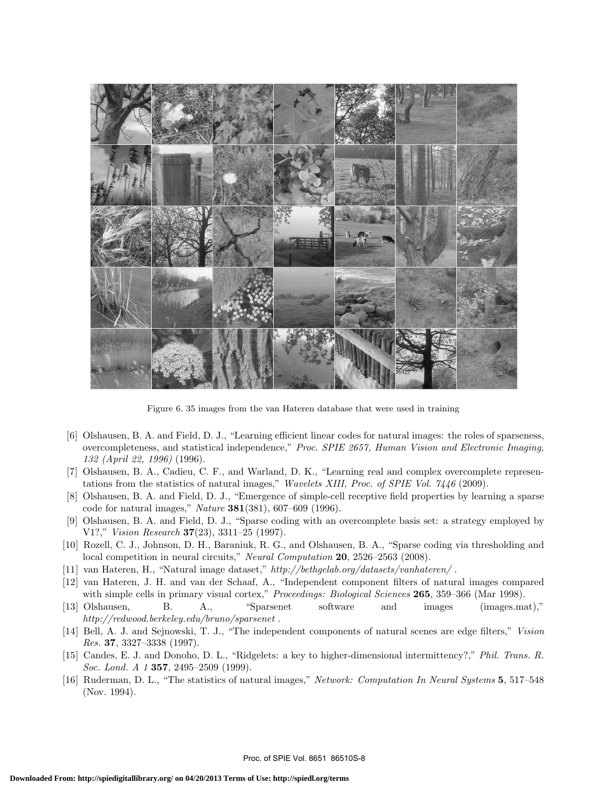

Figure 6. 35 images from the van Hateren database that were used in training

- [6] Olshausen, B. A. and Field, D. J., "Learning efficient linear codes for natural images: the roles of sparseness, overcompleteness, and statistical independence," Proc. SPIE 2657, Human Vision and Electronic Imaging,  $132$  (April 22, 1996) (1996).
- [7] Olshausen, B. A., Cadieu, C. F., and Warland, D. K., "Learning real and complex overcomplete representations from the statistics of natural images," Wavelets XIII, Proc. of SPIE Vol.  $7446$  (2009).
- [8] Olshausen, B. A. and Field, D. J., "Emergence of simple-cell receptive field properties by learning a sparse code for natural images," *Nature* **381**(381), 607-609 (1996).
- [9] Olshausen, B. A. and Field, D. J., "Sparse coding with an overcomplete basis set: a strategy employed by V1?," Vision Research 37(23), 3311-25 (1997).
- [10] Rozell, C. J., Johnson, D. H., Baraniuk, R. G., and Olshausen, B. A., "Sparse coding via thresholding and local competition in neural circuits," Neural Computation 20, 2526–2563 (2008).
- [11] van Hateren, H., "Natural image dataset," http://bethgelab.org/datasets/vanhateren/.
- [12] van Hateren, J. H. and van der Schaaf, A., "Independent component filters of natural images compared with simple cells in primary visual cortex," Proceedings: Biological Sciences 265, 359-366 (Mar 1998).
- "Sparsenet  $[13]$  Olshausen, **B.** A., software and images  $(images.math)$ ."  $http://redwood.berkeley.edu/bruno/sparsenet.$
- [14] Bell, A. J. and Sejnowski, T. J., "The independent components of natural scenes are edge filters," Vision Res. 37, 3327-3338  $(1997)$ .
- [15] Candes, E. J. and Donoho, D. L., "Ridgelets: a key to higher-dimensional intermittency?," Phil. Trans. R. *Soc. Lond. A 1* **357**, 2495–2509 (1999).
- [16] Ruderman, D. L., "The statistics of natural images," Network: Computation In Neural Systems 5, 517-548 (Nov. 1994).